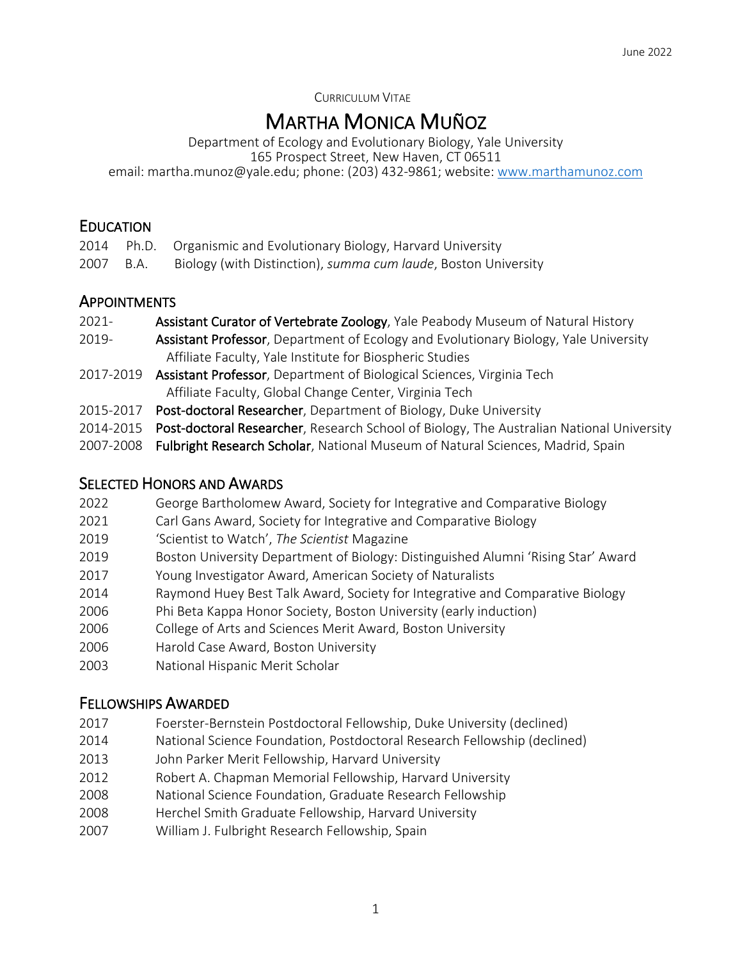CURRICULUM VITAE

**MARTHA MONICA MUÑOZ**<br>Department of Ecology and Evolutionary Biology, Yale University 165 Prospect Street, New Haven, CT 06511 email: martha.munoz@yale.edu; phone: (203) 432-9861; website: www.marthamunoz.com

# **EDUCATION**

|           | 2014 Ph.D. Organismic and Evolutionary Biology, Harvard University |
|-----------|--------------------------------------------------------------------|
| 2007 B.A. | Biology (with Distinction), summa cum laude, Boston University     |

### **APPOINTMENTS**

- 2021- Assistant Curator of Vertebrate Zoology, Yale Peabody Museum of Natural History
- 2019- **Assistant Professor**, Department of Ecology and Evolutionary Biology, Yale University Affiliate Faculty, Yale Institute for Biospheric Studies
- 2017-2019 Assistant Professor, Department of Biological Sciences, Virginia Tech Affiliate Faculty, Global Change Center, Virginia Tech
- 2015-2017 Post-doctoral Researcher, Department of Biology, Duke University
- 2014-2015 Post-doctoral Researcher, Research School of Biology, The Australian National University
- 2007-2008 Fulbright Research Scholar, National Museum of Natural Sciences, Madrid, Spain

# SELECTED HONORS AND AWARDS

- 2022 George Bartholomew Award, Society for Integrative and Comparative Biology
- 2021 Carl Gans Award, Society for Integrative and Comparative Biology
- 2019 'Scientist to Watch', *The Scientist* Magazine
- 2019 Boston University Department of Biology: Distinguished Alumni 'Rising Star' Award
- 2017 Young Investigator Award, American Society of Naturalists
- 2014 Raymond Huey Best Talk Award, Society for Integrative and Comparative Biology
- 2006 Phi Beta Kappa Honor Society, Boston University (early induction)
- 2006 College of Arts and Sciences Merit Award, Boston University
- 2006 Harold Case Award, Boston University
- 2003 National Hispanic Merit Scholar

# FELLOWSHIPS AWARDED

- 2017 Foerster-Bernstein Postdoctoral Fellowship, Duke University (declined)
- 2014 National Science Foundation, Postdoctoral Research Fellowship (declined)
- 2013 John Parker Merit Fellowship, Harvard University
- 2012 Robert A. Chapman Memorial Fellowship, Harvard University
- 2008 National Science Foundation, Graduate Research Fellowship
- 2008 Herchel Smith Graduate Fellowship, Harvard University
- 2007 William J. Fulbright Research Fellowship, Spain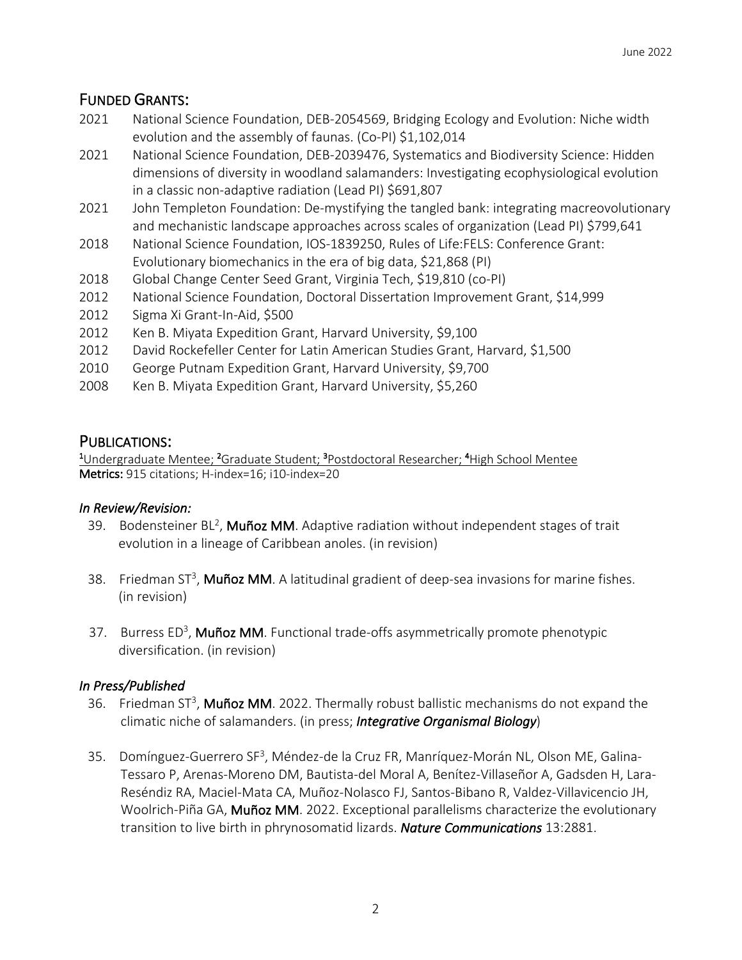# FUNDED GRANTS:

- 2021 National Science Foundation, DEB-2054569, Bridging Ecology and Evolution: Niche width evolution and the assembly of faunas. (Co-PI) \$1,102,014
- 2021 National Science Foundation, DEB-2039476, Systematics and Biodiversity Science: Hidden dimensions of diversity in woodland salamanders: Investigating ecophysiological evolution in a classic non-adaptive radiation (Lead PI) \$691,807
- 2021 John Templeton Foundation: De-mystifying the tangled bank: integrating macreovolutionary and mechanistic landscape approaches across scales of organization (Lead PI) \$799,641
- 2018 National Science Foundation, IOS-1839250, Rules of Life:FELS: Conference Grant: Evolutionary biomechanics in the era of big data, \$21,868 (PI)
- 2018 Global Change Center Seed Grant, Virginia Tech, \$19,810 (co-PI)
- 2012 National Science Foundation, Doctoral Dissertation Improvement Grant, \$14,999
- 2012 Sigma Xi Grant-In-Aid, \$500
- 2012 Ken B. Miyata Expedition Grant, Harvard University, \$9,100
- 2012 David Rockefeller Center for Latin American Studies Grant, Harvard, \$1,500
- 2010 George Putnam Expedition Grant, Harvard University, \$9,700
- 2008 Ken B. Miyata Expedition Grant, Harvard University, \$5,260

#### PUBLICATIONS:

Undergraduate Mentee; <sup>2</sup>Graduate Student; <sup>3</sup>Postdoctoral Researcher; <sup>4</sup>High School Mentee Metrics: 915 citations; H-index=16; i10-index=20

#### *In Review/Revision:*

- 39. Bodensteiner BL<sup>2</sup>, Muñoz MM. Adaptive radiation without independent stages of trait evolution in a lineage of Caribbean anoles. (in revision)
- 38. Friedman ST<sup>3</sup>, Muñoz MM. A latitudinal gradient of deep-sea invasions for marine fishes. (in revision)
- 37. Burress ED<sup>3</sup>, Muñoz MM. Functional trade-offs asymmetrically promote phenotypic diversification. (in revision)

#### *In Press/Published*

- 36. Friedman ST<sup>3</sup>, Muñoz MM. 2022. Thermally robust ballistic mechanisms do not expand the climatic niche of salamanders. (in press; *Integrative Organismal Biology*)
- 35. Domínguez-Guerrero SF<sup>3</sup>, Méndez-de la Cruz FR, Manríquez-Morán NL, Olson ME, Galina- Tessaro P, Arenas-Moreno DM, Bautista-del Moral A, Benítez-Villaseñor A, Gadsden H, Lara- Reséndiz RA, Maciel-Mata CA, Muñoz-Nolasco FJ, Santos-Bibano R, Valdez-Villavicencio JH, Woolrich-Piña GA, Muñoz MM. 2022. Exceptional parallelisms characterize the evolutionary transition to live birth in phrynosomatid lizards. *Nature Communications* 13:2881.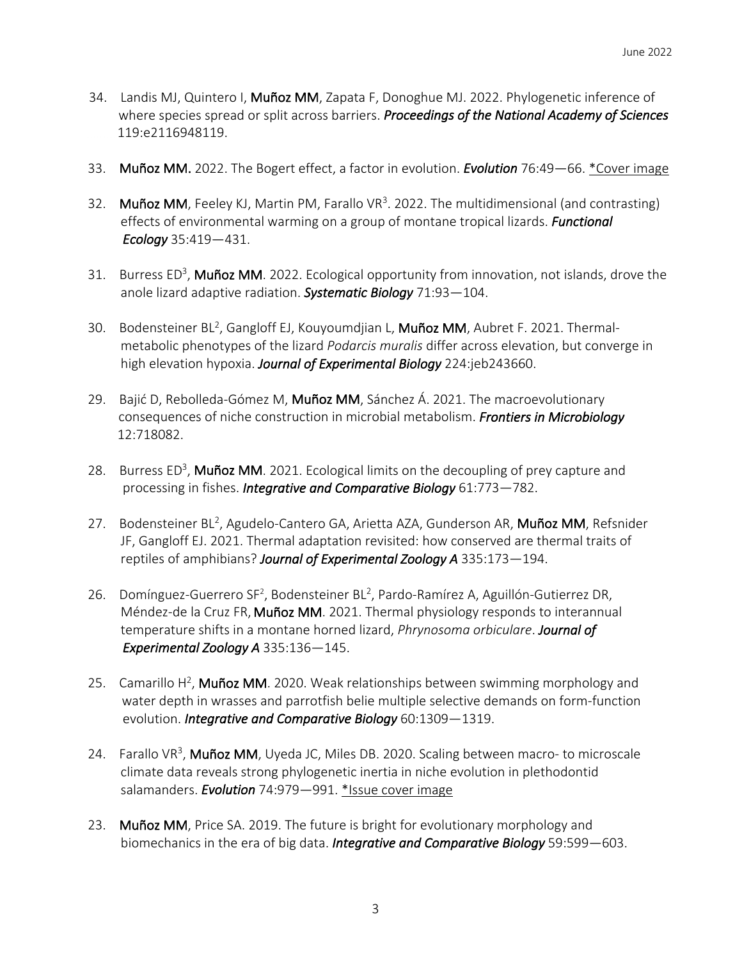- 34. Landis MJ, Quintero I, Muñoz MM, Zapata F, Donoghue MJ. 2022. Phylogenetic inference of where species spread or split across barriers. *Proceedings of the National Academy of Sciences* 119:e2116948119.
- 33. Muñoz MM. 2022. The Bogert effect, a factor in evolution. *Evolution* 76:49—66. \*Cover image
- 32. Muñoz MM, Feeley KJ, Martin PM, Farallo VR<sup>3</sup>. 2022. The multidimensional (and contrasting) effects of environmental warming on a group of montane tropical lizards. *Functional Ecology* 35:419—431.
- 31. Burress ED<sup>3</sup>, Muñoz MM. 2022. Ecological opportunity from innovation, not islands, drove the anole lizard adaptive radiation. *Systematic Biology* 71:93—104.
- 30. Bodensteiner BL<sup>2</sup>, Gangloff EJ, Kouyoumdjian L, Muñoz MM, Aubret F. 2021. Thermal metabolic phenotypes of the lizard *Podarcis muralis* differ across elevation, but converge in high elevation hypoxia. *Journal of Experimental Biology* 224:jeb243660.
- 29. Bajić D, Rebolleda-Gómez M, Muñoz MM, Sánchez Á. 2021. The macroevolutionary consequences of niche construction in microbial metabolism. *Frontiers in Microbiology* 12:718082.
- 28. Burress ED<sup>3</sup>, Muñoz MM. 2021. Ecological limits on the decoupling of prey capture and processing in fishes. *Integrative and Comparative Biology* 61:773—782.
- 27. Bodensteiner BL<sup>2</sup>, Agudelo-Cantero GA, Arietta AZA, Gunderson AR, Muñoz MM, Refsnider JF, Gangloff EJ. 2021. Thermal adaptation revisited: how conserved are thermal traits of reptiles of amphibians? *Journal of Experimental Zoology A* 335:173—194.
- 26. Domínguez-Guerrero SF<sup>2</sup>, Bodensteiner BL<sup>2</sup>, Pardo-Ramírez A, Aguillón-Gutierrez DR, Méndez-de la Cruz FR, Muñoz MM. 2021. Thermal physiology responds to interannual temperature shifts in a montane horned lizard, *Phrynosoma orbiculare*. *Journal of Experimental Zoology A* 335:136—145.
- 25. Camarillo H<sup>2</sup>, Muñoz MM. 2020. Weak relationships between swimming morphology and water depth in wrasses and parrotfish belie multiple selective demands on form-function evolution. *Integrative and Comparative Biology* 60:1309—1319.
- 24. Farallo VR<sup>3</sup>, Muñoz MM, Uyeda JC, Miles DB. 2020. Scaling between macro- to microscale climate data reveals strong phylogenetic inertia in niche evolution in plethodontid salamanders. *Evolution* 74:979—991. \*Issue cover image
- 23. Muñoz MM, Price SA. 2019. The future is bright for evolutionary morphology and biomechanics in the era of big data. *Integrative and Comparative Biology* 59:599—603.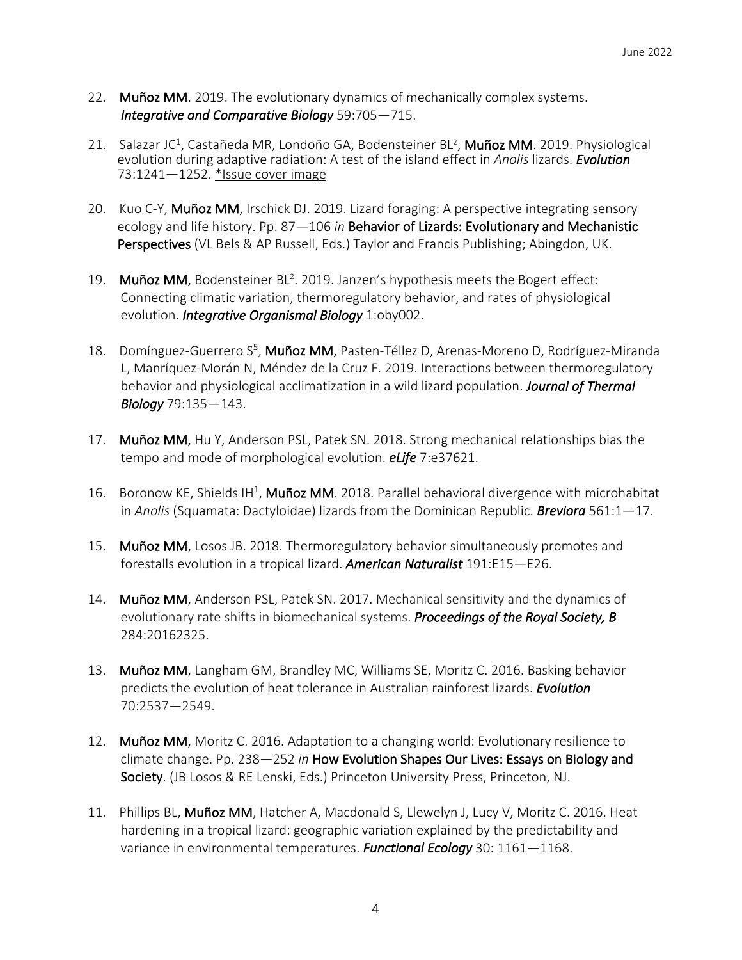- 22. Muñoz MM. 2019. The evolutionary dynamics of mechanically complex systems.  *Integrative and Comparative Biology* 59:705—715.
- 21. Salazar JC<sup>1</sup>, Castañeda MR, Londoño GA, Bodensteiner BL<sup>2</sup>, Muñoz MM. 2019. Physiological evolution during adaptive radiation: A test of the island effect in *Anolis* lizards. *Evolution* 73:1241—1252. \*Issue cover image
- 20. Kuo C-Y, Muñoz MM, Irschick DJ. 2019. Lizard foraging: A perspective integrating sensory ecology and life history. Pp. 87—106 *in* Behavior of Lizards: Evolutionary and Mechanistic Perspectives (VL Bels & AP Russell, Eds.) Taylor and Francis Publishing; Abingdon, UK.
- 19. Muñoz MM, Bodensteiner BL<sup>2</sup>. 2019. Janzen's hypothesis meets the Bogert effect: Connecting climatic variation, thermoregulatory behavior, and rates of physiological evolution. *Integrative Organismal Biology* 1:oby002.
- 18. Domínguez-Guerrero S<sup>5</sup>, Muñoz MM, Pasten-Téllez D, Arenas-Moreno D, Rodríguez-Miranda L, Manríquez-Morán N, Méndez de la Cruz F. 2019. Interactions between thermoregulatory behavior and physiological acclimatization in a wild lizard population. *Journal of Thermal Biology* 79:135—143.
- 17. Muñoz MM, Hu Y, Anderson PSL, Patek SN. 2018. Strong mechanical relationships bias the tempo and mode of morphological evolution. *eLife* 7:e37621.
- 16. Boronow KE, Shields IH<sup>1</sup>, Muñoz MM. 2018. Parallel behavioral divergence with microhabitat in *Anolis* (Squamata: Dactyloidae) lizards from the Dominican Republic. *Breviora* 561:1—17.
- 15. Muñoz MM, Losos JB. 2018. Thermoregulatory behavior simultaneously promotes and forestalls evolution in a tropical lizard. *American Naturalist* 191:E15—E26.
- 14. Muñoz MM, Anderson PSL, Patek SN. 2017. Mechanical sensitivity and the dynamics of evolutionary rate shifts in biomechanical systems. *Proceedings of the Royal Society, B* 284:20162325.
- 13. Muñoz MM, Langham GM, Brandley MC, Williams SE, Moritz C. 2016. Basking behavior predicts the evolution of heat tolerance in Australian rainforest lizards. *Evolution* 70:2537—2549.
- 12. Muñoz MM, Moritz C. 2016. Adaptation to a changing world: Evolutionary resilience to climate change. Pp. 238—252 *in* How Evolution Shapes Our Lives: Essays on Biology and Society. (JB Losos & RE Lenski, Eds.) Princeton University Press, Princeton, NJ.
- 11. Phillips BL, Muñoz MM, Hatcher A, Macdonald S, Llewelyn J, Lucy V, Moritz C. 2016. Heat hardening in a tropical lizard: geographic variation explained by the predictability and variance in environmental temperatures. *Functional Ecology* 30: 1161—1168.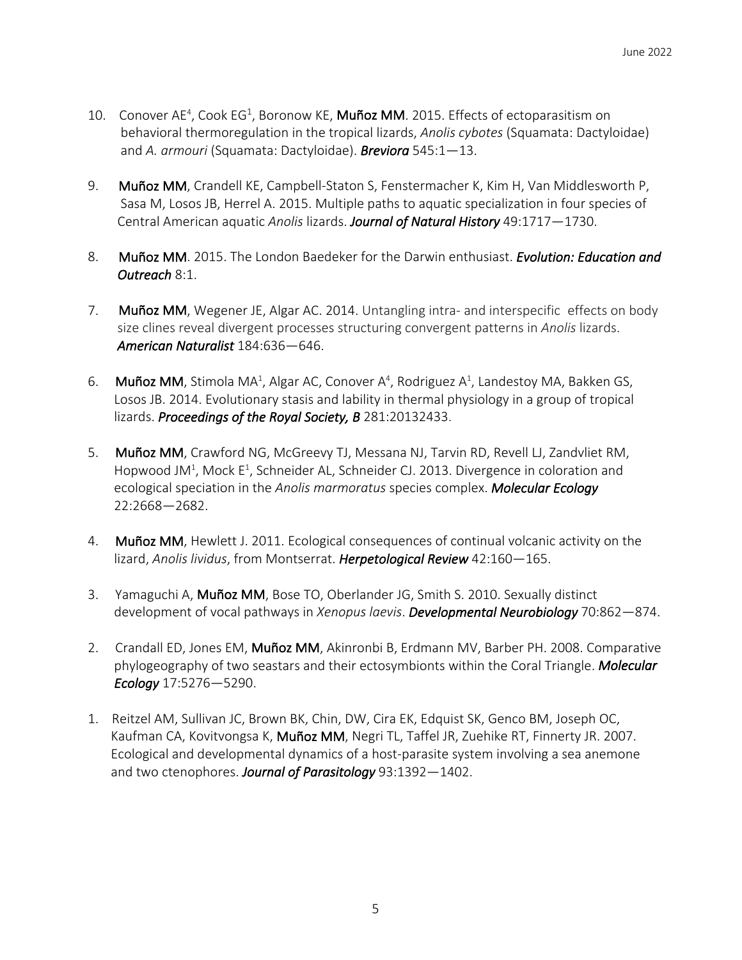- 10. Conover AE<sup>4</sup>, Cook EG<sup>1</sup>, Boronow KE, Muñoz MM. 2015. Effects of ectoparasitism on behavioral thermoregulation in the tropical lizards, *Anolis cybotes* (Squamata: Dactyloidae) and *A. armouri* (Squamata: Dactyloidae). *Breviora* 545:1—13.
- 9. Muñoz MM, Crandell KE, Campbell-Staton S, Fenstermacher K, Kim H, Van Middlesworth P, Sasa M, Losos JB, Herrel A. 2015. Multiple paths to aquatic specialization in four species of Central American aquatic *Anolis* lizards. *Journal of Natural History* 49:1717—1730.
- 8. Muñoz MM. 2015. The London Baedeker for the Darwin enthusiast. *Evolution: Education and Outreach* 8:1.
- 7. Muñoz MM, Wegener JE, Algar AC. 2014. Untangling intra- and interspecific effects on body size clines reveal divergent processes structuring convergent patterns in *Anolis* lizards. *American Naturalist* 184:636—646.
- 6. Muñoz MM, Stimola MA<sup>1</sup>, Algar AC, Conover A<sup>4</sup>, Rodriguez A<sup>1</sup>, Landestoy MA, Bakken GS, Losos JB. 2014. Evolutionary stasis and lability in thermal physiology in a group of tropical lizards. *Proceedings of the Royal Society, B* 281:20132433.
- 5. Muñoz MM, Crawford NG, McGreevy TJ, Messana NJ, Tarvin RD, Revell LJ, Zandvliet RM, Hopwood JM<sup>1</sup>, Mock E<sup>1</sup>, Schneider AL, Schneider CJ. 2013. Divergence in coloration and ecological speciation in the *Anolis marmoratus* species complex. *Molecular Ecology* 22:2668—2682.
- 4. Muñoz MM, Hewlett J. 2011. Ecological consequences of continual volcanic activity on the lizard, *Anolis lividus*, from Montserrat. *Herpetological Review* 42:160—165.
- 3. Yamaguchi A, Muñoz MM, Bose TO, Oberlander JG, Smith S. 2010. Sexually distinct development of vocal pathways in *Xenopus laevis*. *Developmental Neurobiology* 70:862—874.
- 2. Crandall ED, Jones EM, Muñoz MM, Akinronbi B, Erdmann MV, Barber PH. 2008. Comparative phylogeography of two seastars and their ectosymbionts within the Coral Triangle. *Molecular Ecology* 17:5276—5290.
- 1. Reitzel AM, Sullivan JC, Brown BK, Chin, DW, Cira EK, Edquist SK, Genco BM, Joseph OC, Kaufman CA, Kovitvongsa K, Muñoz MM, Negri TL, Taffel JR, Zuehike RT, Finnerty JR. 2007. Ecological and developmental dynamics of a host-parasite system involving a sea anemone and two ctenophores. *Journal of Parasitology* 93:1392—1402.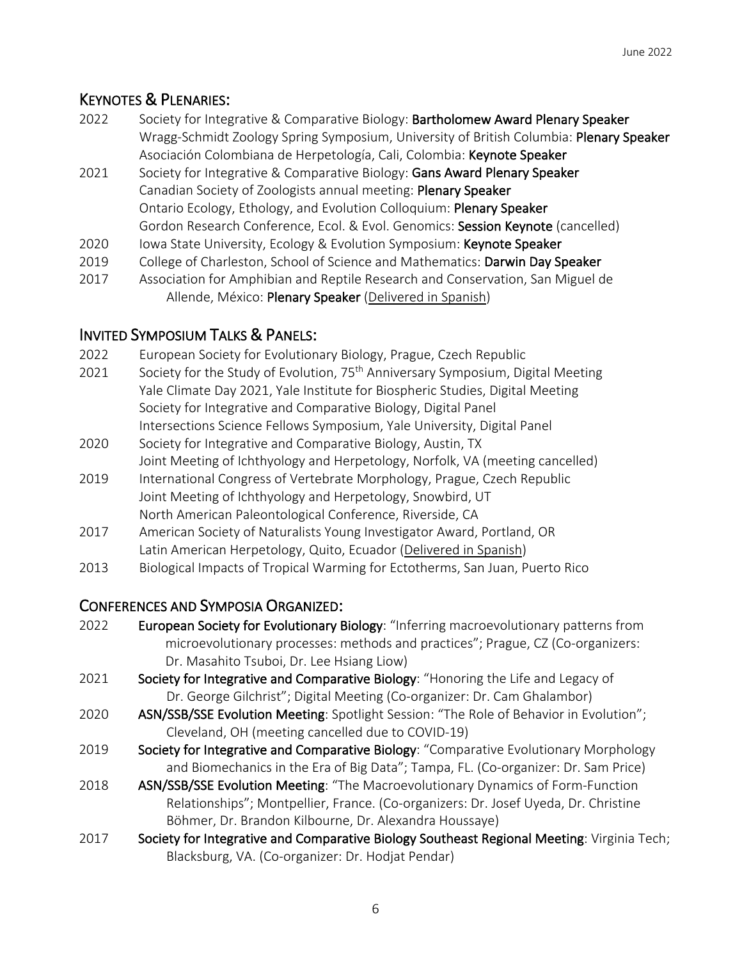# KEYNOTES & PLENARIES:

- 2022 Society for Integrative & Comparative Biology: Bartholomew Award Plenary Speaker Wragg-Schmidt Zoology Spring Symposium, University of British Columbia: Plenary Speaker Asociación Colombiana de Herpetología, Cali, Colombia: Keynote Speaker
- 2021 Society for Integrative & Comparative Biology: Gans Award Plenary Speaker Canadian Society of Zoologists annual meeting: Plenary Speaker Ontario Ecology, Ethology, and Evolution Colloquium: Plenary Speaker Gordon Research Conference, Ecol. & Evol. Genomics: Session Keynote (cancelled)
- 2020 Iowa State University, Ecology & Evolution Symposium: Keynote Speaker
- 2019 College of Charleston, School of Science and Mathematics: Darwin Day Speaker
- 2017 Association for Amphibian and Reptile Research and Conservation, San Miguel de Allende, México: Plenary Speaker (Delivered in Spanish)

# INVITED SYMPOSIUM TALKS & PANELS:

- 2022 European Society for Evolutionary Biology, Prague, Czech Republic
- 2021 Society for the Study of Evolution, 75<sup>th</sup> Anniversary Symposium, Digital Meeting Yale Climate Day 2021, Yale Institute for Biospheric Studies, Digital Meeting Society for Integrative and Comparative Biology, Digital Panel Intersections Science Fellows Symposium, Yale University, Digital Panel
- 2020 Society for Integrative and Comparative Biology, Austin, TX Joint Meeting of Ichthyology and Herpetology, Norfolk, VA (meeting cancelled)
- 2019 International Congress of Vertebrate Morphology, Prague, Czech Republic Joint Meeting of Ichthyology and Herpetology, Snowbird, UT North American Paleontological Conference, Riverside, CA
- 2017 American Society of Naturalists Young Investigator Award, Portland, OR Latin American Herpetology, Quito, Ecuador (Delivered in Spanish)
- 2013 Biological Impacts of Tropical Warming for Ectotherms, San Juan, Puerto Rico

# CONFERENCES AND SYMPOSIA ORGANIZED:

- 2022 European Society for Evolutionary Biology: "Inferring macroevolutionary patterns from microevolutionary processes: methods and practices"; Prague, CZ (Co-organizers: Dr. Masahito Tsuboi, Dr. Lee Hsiang Liow)
- 2021 Society for Integrative and Comparative Biology: "Honoring the Life and Legacy of Dr. George Gilchrist"; Digital Meeting (Co-organizer: Dr. Cam Ghalambor)
- 2020 ASN/SSB/SSE Evolution Meeting: Spotlight Session: "The Role of Behavior in Evolution"; Cleveland, OH (meeting cancelled due to COVID-19)
- 2019 Society for Integrative and Comparative Biology: "Comparative Evolutionary Morphology and Biomechanics in the Era of Big Data"; Tampa, FL. (Co-organizer: Dr. Sam Price)
- 2018 ASN/SSB/SSE Evolution Meeting: "The Macroevolutionary Dynamics of Form-Function Relationships"; Montpellier, France. (Co-organizers: Dr. Josef Uyeda, Dr. Christine Böhmer, Dr. Brandon Kilbourne, Dr. Alexandra Houssaye)
- 2017 Society for Integrative and Comparative Biology Southeast Regional Meeting: Virginia Tech; Blacksburg, VA. (Co-organizer: Dr. Hodjat Pendar)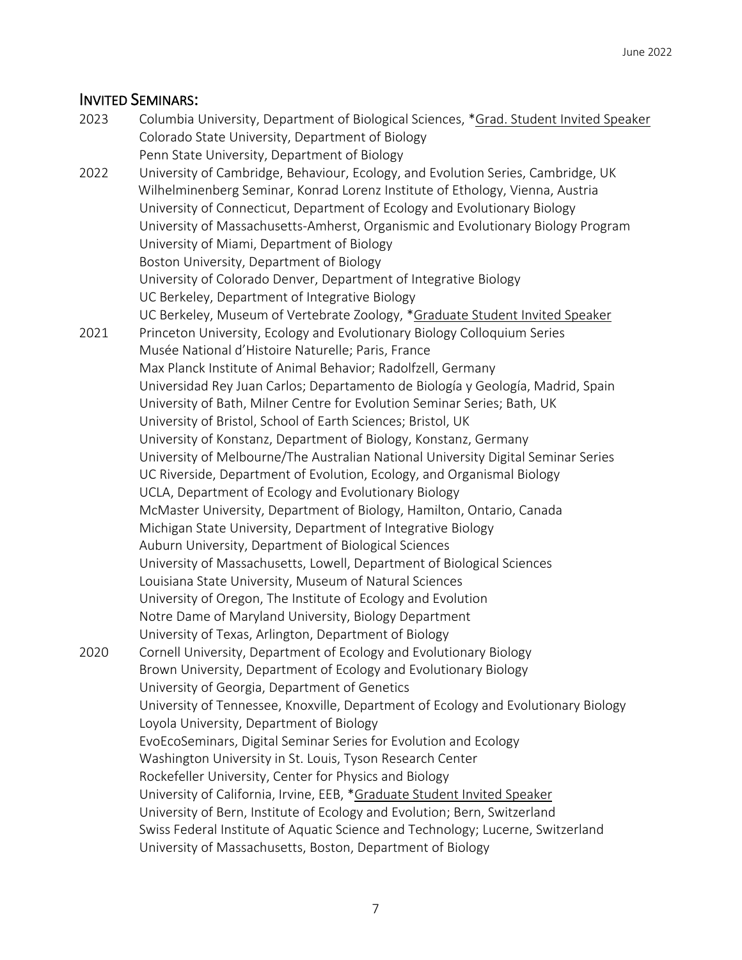# INVITED SEMINARS:

| 2023 | Columbia University, Department of Biological Sciences, *Grad. Student Invited Speaker |
|------|----------------------------------------------------------------------------------------|
|      | Colorado State University, Department of Biology                                       |
|      | Penn State University, Department of Biology                                           |
| 2022 | University of Cambridge, Behaviour, Ecology, and Evolution Series, Cambridge, UK       |
|      | Wilhelminenberg Seminar, Konrad Lorenz Institute of Ethology, Vienna, Austria          |
|      | University of Connecticut, Department of Ecology and Evolutionary Biology              |
|      | University of Massachusetts-Amherst, Organismic and Evolutionary Biology Program       |
|      | University of Miami, Department of Biology                                             |
|      | Boston University, Department of Biology                                               |
|      | University of Colorado Denver, Department of Integrative Biology                       |
|      | UC Berkeley, Department of Integrative Biology                                         |
|      | UC Berkeley, Museum of Vertebrate Zoology, *Graduate Student Invited Speaker           |
| 2021 | Princeton University, Ecology and Evolutionary Biology Colloquium Series               |
|      | Musée National d'Histoire Naturelle; Paris, France                                     |
|      | Max Planck Institute of Animal Behavior; Radolfzell, Germany                           |
|      | Universidad Rey Juan Carlos; Departamento de Biología y Geología, Madrid, Spain        |
|      | University of Bath, Milner Centre for Evolution Seminar Series; Bath, UK               |
|      | University of Bristol, School of Earth Sciences; Bristol, UK                           |
|      |                                                                                        |
|      | University of Konstanz, Department of Biology, Konstanz, Germany                       |
|      | University of Melbourne/The Australian National University Digital Seminar Series      |
|      | UC Riverside, Department of Evolution, Ecology, and Organismal Biology                 |
|      | UCLA, Department of Ecology and Evolutionary Biology                                   |
|      | McMaster University, Department of Biology, Hamilton, Ontario, Canada                  |
|      | Michigan State University, Department of Integrative Biology                           |
|      | Auburn University, Department of Biological Sciences                                   |
|      | University of Massachusetts, Lowell, Department of Biological Sciences                 |
|      | Louisiana State University, Museum of Natural Sciences                                 |
|      | University of Oregon, The Institute of Ecology and Evolution                           |
|      | Notre Dame of Maryland University, Biology Department                                  |
|      | University of Texas, Arlington, Department of Biology                                  |
| 2020 | Cornell University, Department of Ecology and Evolutionary Biology                     |
|      | Brown University, Department of Ecology and Evolutionary Biology                       |
|      | University of Georgia, Department of Genetics                                          |
|      | University of Tennessee, Knoxville, Department of Ecology and Evolutionary Biology     |
|      | Loyola University, Department of Biology                                               |
|      | EvoEcoSeminars, Digital Seminar Series for Evolution and Ecology                       |
|      | Washington University in St. Louis, Tyson Research Center                              |
|      | Rockefeller University, Center for Physics and Biology                                 |
|      | University of California, Irvine, EEB, *Graduate Student Invited Speaker               |
|      | University of Bern, Institute of Ecology and Evolution; Bern, Switzerland              |
|      | Swiss Federal Institute of Aquatic Science and Technology; Lucerne, Switzerland        |
|      | University of Massachusetts, Boston, Department of Biology                             |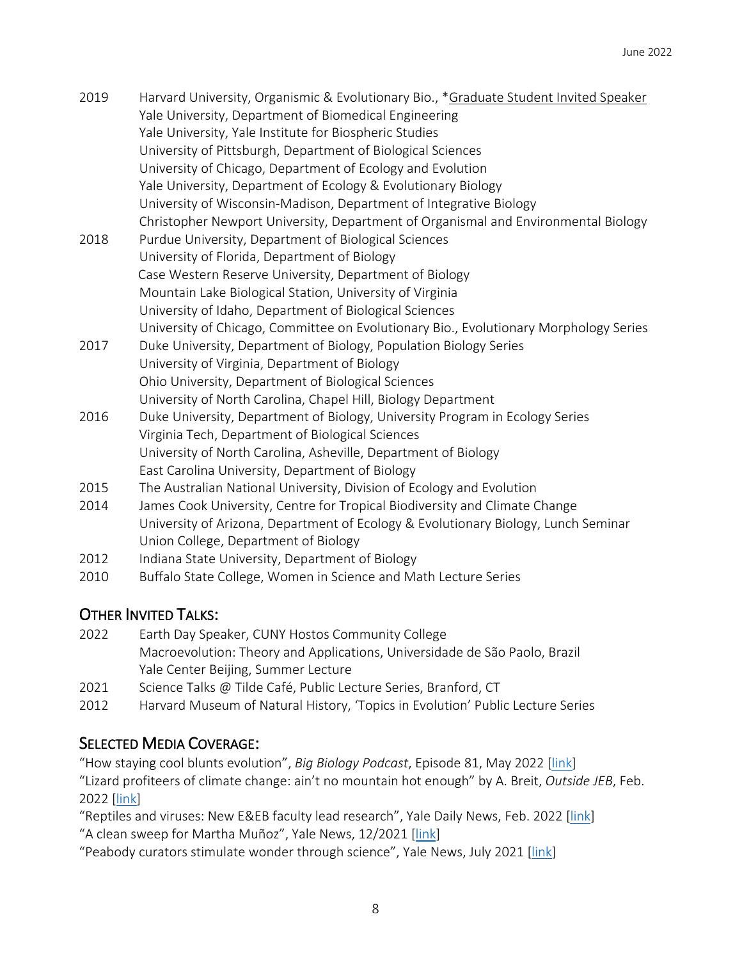| 2019 | Harvard University, Organismic & Evolutionary Bio., *Graduate Student Invited Speaker<br>Yale University, Department of Biomedical Engineering |
|------|------------------------------------------------------------------------------------------------------------------------------------------------|
|      | Yale University, Yale Institute for Biospheric Studies                                                                                         |
|      | University of Pittsburgh, Department of Biological Sciences                                                                                    |
|      | University of Chicago, Department of Ecology and Evolution                                                                                     |
|      | Yale University, Department of Ecology & Evolutionary Biology                                                                                  |
|      | University of Wisconsin-Madison, Department of Integrative Biology                                                                             |
|      | Christopher Newport University, Department of Organismal and Environmental Biology                                                             |
| 2018 | Purdue University, Department of Biological Sciences                                                                                           |
|      | University of Florida, Department of Biology                                                                                                   |
|      | Case Western Reserve University, Department of Biology                                                                                         |
|      | Mountain Lake Biological Station, University of Virginia                                                                                       |
|      | University of Idaho, Department of Biological Sciences                                                                                         |
|      | University of Chicago, Committee on Evolutionary Bio., Evolutionary Morphology Series                                                          |
| 2017 | Duke University, Department of Biology, Population Biology Series                                                                              |
|      | University of Virginia, Department of Biology                                                                                                  |
|      | Ohio University, Department of Biological Sciences                                                                                             |
|      | University of North Carolina, Chapel Hill, Biology Department                                                                                  |
| 2016 | Duke University, Department of Biology, University Program in Ecology Series                                                                   |

- 2016 Duke University, Department of Biology, University Program in Ecology Series Virginia Tech, Department of Biological Sciences University of North Carolina, Asheville, Department of Biology East Carolina University, Department of Biology
- 2015 The Australian National University, Division of Ecology and Evolution
- 2014 James Cook University, Centre for Tropical Biodiversity and Climate Change University of Arizona, Department of Ecology & Evolutionary Biology, Lunch Seminar Union College, Department of Biology
- 2012 Indiana State University, Department of Biology
- 2010 Buffalo State College, Women in Science and Math Lecture Series

# OTHER INVITED TALKS:

- 2022 Earth Day Speaker, CUNY Hostos Community College Macroevolution: Theory and Applications, Universidade de São Paolo, Brazil Yale Center Beijing, Summer Lecture
- 2021 Science Talks @ Tilde Café, Public Lecture Series, Branford, CT
- 2012 Harvard Museum of Natural History, 'Topics in Evolution' Public Lecture Series

# SELECTED MEDIA COVERAGE:

"How staying cool blunts evolution", *Big Biology Podcast*, Episode 81, May 2022 [link] "Lizard profiteers of climate change: ain't no mountain hot enough" by A. Breit, *Outside JEB*, Feb. 2022 [link]

"Reptiles and viruses: New E&EB faculty lead research", Yale Daily News, Feb. 2022 [link] "A clean sweep for Martha Muñoz", Yale News, 12/2021 [link]

"Peabody curators stimulate wonder through science", Yale News, July 2021 [link]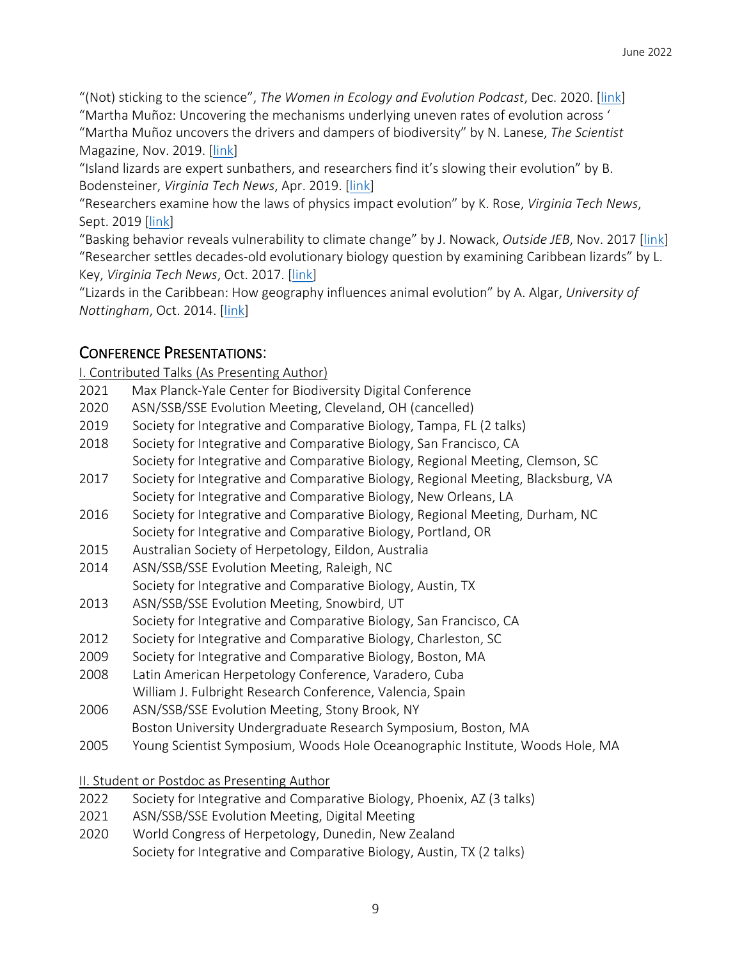"(Not) sticking to the science", *The Women in Ecology and Evolution Podcast*, Dec. 2020. [link] "Martha Muñoz: Uncovering the mechanisms underlying uneven rates of evolution across '

"Martha Muñoz uncovers the drivers and dampers of biodiversity" by N. Lanese, *The Scientist* Magazine, Nov. 2019. [link]

"Island lizards are expert sunbathers, and researchers find it's slowing their evolution" by B. Bodensteiner, *Virginia Tech News*, Apr. 2019. [link]

"Researchers examine how the laws of physics impact evolution" by K. Rose, *Virginia Tech News*, Sept. 2019 [link]

"Basking behavior reveals vulnerability to climate change" by J. Nowack, *Outside JEB*, Nov. 2017 [link] "Researcher settles decades-old evolutionary biology question by examining Caribbean lizards" by L. Key, *Virginia Tech News*, Oct. 2017. [link]

"Lizards in the Caribbean: How geography influences animal evolution" by A. Algar, *University of Nottingham*, Oct. 2014. [link]

# CONFERENCE PRESENTATIONS:

I. Contributed Talks (As Presenting Author)

- 2021 Max Planck-Yale Center for Biodiversity Digital Conference
- 2020 ASN/SSB/SSE Evolution Meeting, Cleveland, OH (cancelled)
- 2019 Society for Integrative and Comparative Biology, Tampa, FL (2 talks)
- 2018 Society for Integrative and Comparative Biology, San Francisco, CA Society for Integrative and Comparative Biology, Regional Meeting, Clemson, SC
- 2017 Society for Integrative and Comparative Biology, Regional Meeting, Blacksburg, VA Society for Integrative and Comparative Biology, New Orleans, LA
- 2016 Society for Integrative and Comparative Biology, Regional Meeting, Durham, NC Society for Integrative and Comparative Biology, Portland, OR
- 2015 Australian Society of Herpetology, Eildon, Australia
- 2014 ASN/SSB/SSE Evolution Meeting, Raleigh, NC Society for Integrative and Comparative Biology, Austin, TX
- 2013 ASN/SSB/SSE Evolution Meeting, Snowbird, UT Society for Integrative and Comparative Biology, San Francisco, CA
- 2012 Society for Integrative and Comparative Biology, Charleston, SC
- 2009 Society for Integrative and Comparative Biology, Boston, MA
- 2008 Latin American Herpetology Conference, Varadero, Cuba William J. Fulbright Research Conference, Valencia, Spain
- 2006 ASN/SSB/SSE Evolution Meeting, Stony Brook, NY
- Boston University Undergraduate Research Symposium, Boston, MA
- 2005 Young Scientist Symposium, Woods Hole Oceanographic Institute, Woods Hole, MA

II. Student or Postdoc as Presenting Author

- 2022 Society for Integrative and Comparative Biology, Phoenix, AZ (3 talks)
- 2021 ASN/SSB/SSE Evolution Meeting, Digital Meeting
- 2020 World Congress of Herpetology, Dunedin, New Zealand Society for Integrative and Comparative Biology, Austin, TX (2 talks)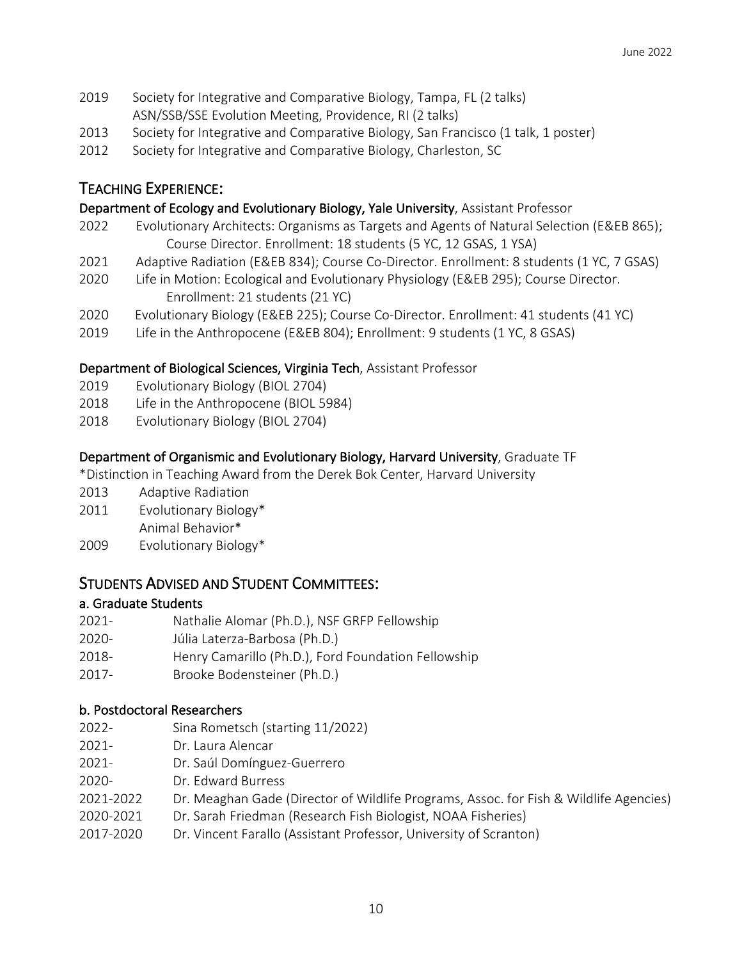- 2019 Society for Integrative and Comparative Biology, Tampa, FL (2 talks) ASN/SSB/SSE Evolution Meeting, Providence, RI (2 talks)
- 2013 Society for Integrative and Comparative Biology, San Francisco (1 talk, 1 poster)
- 2012 Society for Integrative and Comparative Biology, Charleston, SC

# TEACHING EXPERIENCE:

### Department of Ecology and Evolutionary Biology, Yale University, Assistant Professor

- 2022 Evolutionary Architects: Organisms as Targets and Agents of Natural Selection (E&EB 865); Course Director. Enrollment: 18 students (5 YC, 12 GSAS, 1 YSA)
- 2021 Adaptive Radiation (E&EB 834); Course Co-Director. Enrollment: 8 students (1 YC, 7 GSAS)
- 2020 Life in Motion: Ecological and Evolutionary Physiology (E&EB 295); Course Director. Enrollment: 21 students (21 YC)
- 2020 Evolutionary Biology (E&EB 225); Course Co-Director. Enrollment: 41 students (41 YC)
- 2019 Life in the Anthropocene (E&EB 804); Enrollment: 9 students (1 YC, 8 GSAS)

### Department of Biological Sciences, Virginia Tech, Assistant Professor

- 2019 Evolutionary Biology (BIOL 2704)
- 2018 Life in the Anthropocene (BIOL 5984)
- 2018 Evolutionary Biology (BIOL 2704)

# Department of Organismic and Evolutionary Biology, Harvard University, Graduate TF

\*Distinction in Teaching Award from the Derek Bok Center, Harvard University

- 2013 Adaptive Radiation
- 2011 Evolutionary Biology\* Animal Behavior\*
- 2009 Evolutionary Biology\*

# STUDENTS ADVISED AND STUDENT COMMITTEES:

#### a. Graduate Students

- 2021- Nathalie Alomar (Ph.D.), NSF GRFP Fellowship
- 2020- Júlia Laterza-Barbosa (Ph.D.)
- 2018- Henry Camarillo (Ph.D.), Ford Foundation Fellowship
- 2017- Brooke Bodensteiner (Ph.D.)

# b. Postdoctoral Researchers

- 2022- Sina Rometsch (starting 11/2022)
- 2021- Dr. Laura Alencar
- 2021- Dr. Saúl Domínguez-Guerrero
- 2020- Dr. Edward Burress
- 2021-2022 Dr. Meaghan Gade (Director of Wildlife Programs, Assoc. for Fish & Wildlife Agencies)
- 2020-2021 Dr. Sarah Friedman (Research Fish Biologist, NOAA Fisheries)
- 2017-2020 Dr. Vincent Farallo (Assistant Professor, University of Scranton)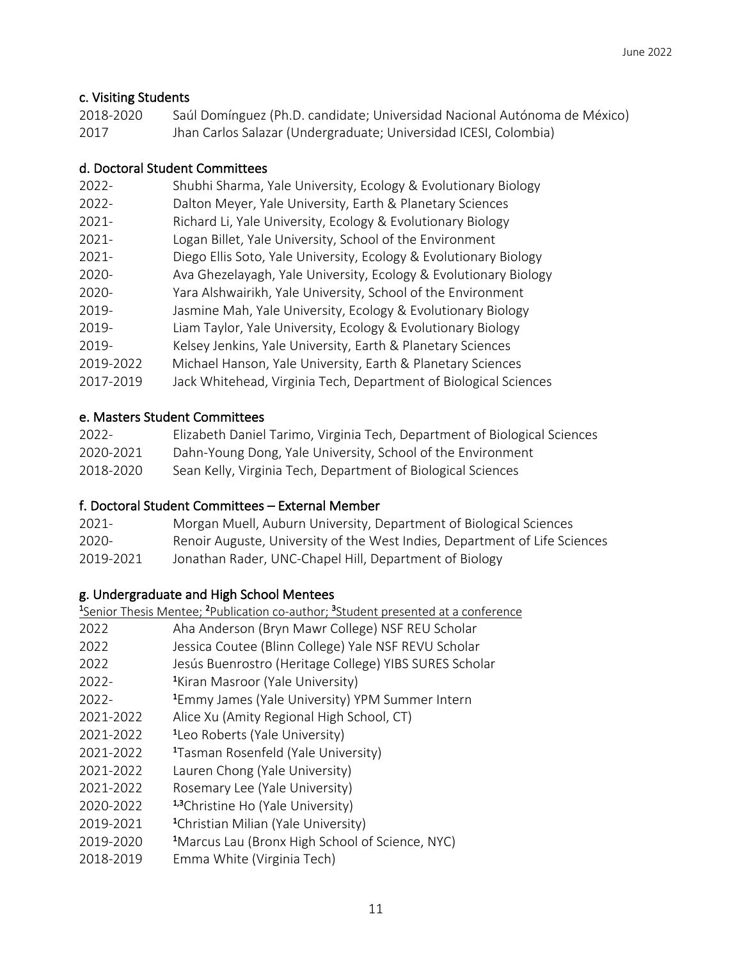# c. Visiting Students

| 2018-2020 | Saúl Domínguez (Ph.D. candidate; Universidad Nacional Autónoma de México) |
|-----------|---------------------------------------------------------------------------|
| 2017      | Jhan Carlos Salazar (Undergraduate; Universidad ICESI, Colombia)          |

#### d. Doctoral Student Committees

| $2022 -$  | Shubhi Sharma, Yale University, Ecology & Evolutionary Biology    |
|-----------|-------------------------------------------------------------------|
| $2022 -$  | Dalton Meyer, Yale University, Earth & Planetary Sciences         |
| $2021 -$  | Richard Li, Yale University, Ecology & Evolutionary Biology       |
| $2021 -$  | Logan Billet, Yale University, School of the Environment          |
| $2021 -$  | Diego Ellis Soto, Yale University, Ecology & Evolutionary Biology |
| 2020-     | Ava Ghezelayagh, Yale University, Ecology & Evolutionary Biology  |
| 2020-     | Yara Alshwairikh, Yale University, School of the Environment      |
| 2019-     | Jasmine Mah, Yale University, Ecology & Evolutionary Biology      |
| 2019-     | Liam Taylor, Yale University, Ecology & Evolutionary Biology      |
| 2019-     | Kelsey Jenkins, Yale University, Earth & Planetary Sciences       |
| 2019-2022 | Michael Hanson, Yale University, Earth & Planetary Sciences       |
| 2017-2019 | Jack Whitehead, Virginia Tech, Department of Biological Sciences  |

#### e. Masters Student Committees

| 2022-     | Elizabeth Daniel Tarimo, Virginia Tech, Department of Biological Sciences |
|-----------|---------------------------------------------------------------------------|
| 2020-2021 | Dahn-Young Dong, Yale University, School of the Environment               |
| 2018-2020 | Sean Kelly, Virginia Tech, Department of Biological Sciences              |

# f. Doctoral Student Committees – External Member

| $2021 -$  | Morgan Muell, Auburn University, Department of Biological Sciences         |
|-----------|----------------------------------------------------------------------------|
| 2020-     | Renoir Auguste, University of the West Indies, Department of Life Sciences |
| 2019-2021 | Jonathan Rader, UNC-Chapel Hill, Department of Biology                     |

# g. Undergraduate and High School Mentees 1

|           | <sup>1</sup> Senior Thesis Mentee; <sup>2</sup> Publication co-author; <sup>3</sup> Student presented at a conference |
|-----------|-----------------------------------------------------------------------------------------------------------------------|
| 2022      | Aha Anderson (Bryn Mawr College) NSF REU Scholar                                                                      |
| 2022      | Jessica Coutee (Blinn College) Yale NSF REVU Scholar                                                                  |
| 2022      | Jesús Buenrostro (Heritage College) YIBS SURES Scholar                                                                |
| $2022 -$  | <sup>1</sup> Kiran Masroor (Yale University)                                                                          |
| $2022 -$  | <sup>1</sup> Emmy James (Yale University) YPM Summer Intern                                                           |
| 2021-2022 | Alice Xu (Amity Regional High School, CT)                                                                             |
| 2021-2022 | <sup>1</sup> Leo Roberts (Yale University)                                                                            |
| 2021-2022 | <sup>1</sup> Tasman Rosenfeld (Yale University)                                                                       |
| 2021-2022 | Lauren Chong (Yale University)                                                                                        |
| 2021-2022 | Rosemary Lee (Yale University)                                                                                        |
| 2020-2022 | <sup>1,3</sup> Christine Ho (Yale University)                                                                         |
| 2019-2021 | <sup>1</sup> Christian Milian (Yale University)                                                                       |
| 2019-2020 | <sup>1</sup> Marcus Lau (Bronx High School of Science, NYC)                                                           |
| 2018-2019 | Emma White (Virginia Tech)                                                                                            |
|           |                                                                                                                       |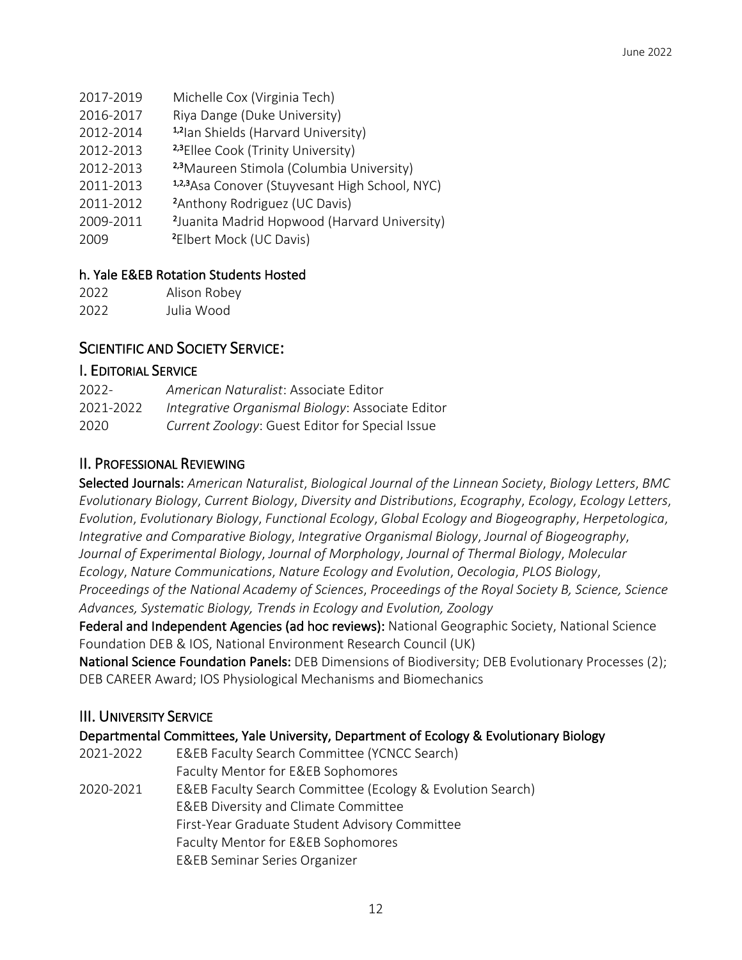- 2017-2019 Michelle Cox (Virginia Tech)
- 2016-2017 Riya Dange (Duke University)
- 2012-2014 1,2Ian Shields (Harvard University)
- 2012-2013 2,3Ellee Cook (Trinity University)
- 2012-2013 2,3 Maureen Stimola (Columbia University)
- 2011-2013 1,2,3 Asa Conover (Stuyvesant High School, NYC)
- 2011-2012 Anthony Rodriguez (UC Davis)
- 2009-2011 2 Juanita Madrid Hopwood (Harvard University)
- 2009 Elbert Mock (UC Davis)

### h. Yale E&EB Rotation Students Hosted

| 2022 | Alison Robey |
|------|--------------|
| 2022 | Julia Wood   |

# SCIENTIFIC AND SOCIETY SERVICE:

### I. EDITORIAL SERVICE

| 2022-     | American Naturalist: Associate Editor            |
|-----------|--------------------------------------------------|
| 2021-2022 | Integrative Organismal Biology: Associate Editor |
| 2020      | Current Zoology: Guest Editor for Special Issue  |

# II. PROFESSIONAL REVIEWING

Selected Journals: *American Naturalist*, *Biological Journal of the Linnean Society*, *Biology Letters*, *BMC Evolutionary Biology*, *Current Biology*, *Diversity and Distributions*, *Ecography*, *Ecology*, *Ecology Letters*, *Evolution*, *Evolutionary Biology*, *Functional Ecology*, *Global Ecology and Biogeography*, *Herpetologica*, *Integrative and Comparative Biology*, *Integrative Organismal Biology*, *Journal of Biogeography*, *Journal of Experimental Biology*, *Journal of Morphology*, *Journal of Thermal Biology*, *Molecular Ecology*, *Nature Communications*, *Nature Ecology and Evolution*, *Oecologia*, *PLOS Biology*, *Proceedings of the National Academy of Sciences*, *Proceedings of the Royal Society B, Science, Science Advances, Systematic Biology, Trends in Ecology and Evolution, Zoology*

Federal and Independent Agencies (ad hoc reviews): National Geographic Society, National Science Foundation DEB & IOS, National Environment Research Council (UK)

National Science Foundation Panels: DEB Dimensions of Biodiversity; DEB Evolutionary Processes (2); DEB CAREER Award; IOS Physiological Mechanisms and Biomechanics

# III. UNIVERSITY SERVICE

|  | Departmental Committees, Yale University, Department of Ecology & Evolutionary Biology |
|--|----------------------------------------------------------------------------------------|
|--|----------------------------------------------------------------------------------------|

- 2021-2022 E&EB Faculty Search Committee (YCNCC Search) Faculty Mentor for E&EB Sophomores
- 2020-2021 E&EB Faculty Search Committee (Ecology & Evolution Search) E&EB Diversity and Climate Committee First-Year Graduate Student Advisory Committee Faculty Mentor for E&EB Sophomores E&EB Seminar Series Organizer